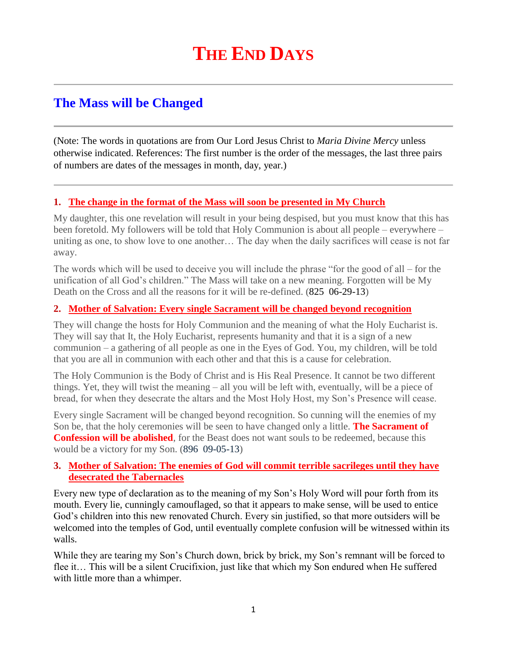# **The Mass will be Changed**

(Note: The words in quotations are from Our Lord Jesus Christ to *Maria Divine Mercy* unless otherwise indicated. References: The first number is the order of the messages, the last three pairs of numbers are dates of the messages in month, day, year.)

### **1. [The change in the format of the Mass will soon be presented in My Church](http://www.thewarningsecondcoming.com/the-change-in-the-format-of-the-mass-will-soon-be-presented-in-my-church/)**

My daughter, this one revelation will result in your being despised, but you must know that this has been foretold. My followers will be told that Holy Communion is about all people – everywhere – uniting as one, to show love to one another… The day when the daily sacrifices will cease is not far away.

The words which will be used to deceive you will include the phrase "for the good of all – for the unification of all God's children." The Mass will take on a new meaning. Forgotten will be My Death on the Cross and all the reasons for it will be re-defined. (825 06-29-13)

# **2. [Mother of Salvation: Every single Sacrament will be changed beyond recognition](http://www.thewarningsecondcoming.com/mother-of-salvation-every-single-sacrament-will-be-changed-beyond-recognition/)**

They will change the hosts for Holy Communion and the meaning of what the Holy Eucharist is. They will say that It, the Holy Eucharist, represents humanity and that it is a sign of a new communion – a gathering of all people as one in the Eyes of God. You, my children, will be told that you are all in communion with each other and that this is a cause for celebration.

The Holy Communion is the Body of Christ and is His Real Presence. It cannot be two different things. Yet, they will twist the meaning – all you will be left with, eventually, will be a piece of bread, for when they desecrate the altars and the Most Holy Host, my Son's Presence will cease.

Every single Sacrament will be changed beyond recognition. So cunning will the enemies of my Son be, that the holy ceremonies will be seen to have changed only a little. **The Sacrament of Confession will be abolished**, for the Beast does not want souls to be redeemed, because this would be a victory for my Son. (896 09-05-13)

### **3. [Mother of Salvation: The enemies of God will commit terrible sacrileges until they have](http://www.thewarningsecondcoming.com/mother-of-salvation-the-enemies-of-god-will-commit-terrible-sacrileges-until-they-have-desecrated-the-tabernacles-2/)  [desecrated the Tabernacles](http://www.thewarningsecondcoming.com/mother-of-salvation-the-enemies-of-god-will-commit-terrible-sacrileges-until-they-have-desecrated-the-tabernacles-2/)**

Every new type of declaration as to the meaning of my Son's Holy Word will pour forth from its mouth. Every lie, cunningly camouflaged, so that it appears to make sense, will be used to entice God's children into this new renovated Church. Every sin justified, so that more outsiders will be welcomed into the temples of God, until eventually complete confusion will be witnessed within its walls.

While they are tearing my Son's Church down, brick by brick, my Son's remnant will be forced to flee it… This will be a silent Crucifixion, just like that which my Son endured when He suffered with little more than a whimper.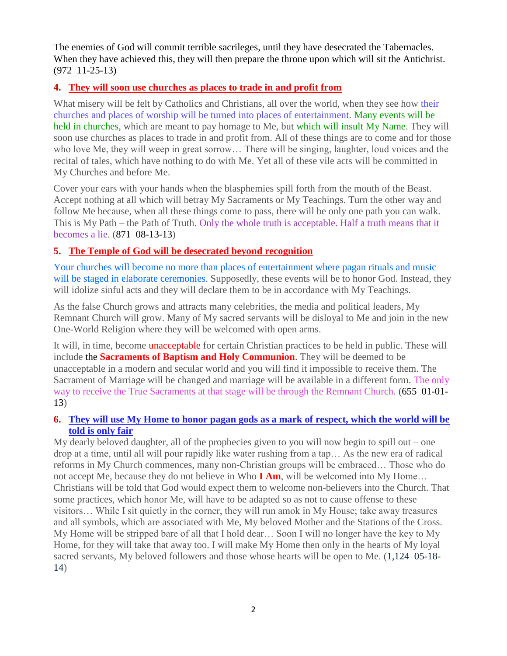The enemies of God will commit terrible sacrileges, until they have desecrated the Tabernacles. When they have achieved this, they will then prepare the throne upon which will sit the Antichrist. (972 11-25-13)

## **4. [They will soon use churches as places to trade in and profit from](http://www.thewarningsecondcoming.com/they-will-soon-use-churches-as-places-to-trade-in-and-profit-from/)**

What misery will be felt by Catholics and Christians, all over the world, when they see how their churches and places of worship will be turned into places of entertainment. Many events will be held in churches, which are meant to pay homage to Me, but which will insult My Name. They will soon use churches as places to trade in and profit from. All of these things are to come and for those who love Me, they will weep in great sorrow… There will be singing, laughter, loud voices and the recital of tales, which have nothing to do with Me. Yet all of these vile acts will be committed in My Churches and before Me.

Cover your ears with your hands when the blasphemies spill forth from the mouth of the Beast. Accept nothing at all which will betray My Sacraments or My Teachings. Turn the other way and follow Me because, when all these things come to pass, there will be only one path you can walk. This is My Path – the Path of Truth. Only the whole truth is acceptable. Half a truth means that it becomes a lie. (871 08-13-13)

### **5. [The Temple of God will be desecrated beyond recognition](http://www.thewarningsecondcoming.com/the-temple-of-god-will-be-desecrated-beyond-recognition/)**

Your churches will become no more than places of entertainment where pagan rituals and music will be staged in elaborate ceremonies. Supposedly, these events will be to honor God. Instead, they will idolize sinful acts and they will declare them to be in accordance with My Teachings.

As the false Church grows and attracts many celebrities, the media and political leaders, My Remnant Church will grow. Many of My sacred servants will be disloyal to Me and join in the new One-World Religion where they will be welcomed with open arms.

It will, in time, become **unacceptable** for certain Christian practices to be held in public. These will include the **Sacraments of Baptism and Holy Communion**. They will be deemed to be unacceptable in a modern and secular world and you will find it impossible to receive them. The Sacrament of Marriage will be changed and marriage will be available in a different form. The only way to receive the True Sacraments at that stage will be through the Remnant Church. (655 01-01- 13)

#### **6. [They will use My Home to honor pagan gods as a mark of respect, which the world will be](http://www.thewarningsecondcoming.com/today-fewer-people-than-ever-believe-in-the-word-of-god/)  [told is only fair](http://www.thewarningsecondcoming.com/today-fewer-people-than-ever-believe-in-the-word-of-god/)**

My dearly beloved daughter, all of the prophecies given to you will now begin to spill out – one drop at a time, until all will pour rapidly like water rushing from a tap… As the new era of radical reforms in My Church commences, many non-Christian groups will be embraced… Those who do not accept Me, because they do not believe in Who **I Am**, will be welcomed into My Home… Christians will be told that God would expect them to welcome non-believers into the Church. That some practices, which honor Me, will have to be adapted so as not to cause offense to these visitors… While I sit quietly in the corner, they will run amok in My House; take away treasures and all symbols, which are associated with Me, My beloved Mother and the Stations of the Cross. My Home will be stripped bare of all that I hold dear… Soon I will no longer have the key to My Home, for they will take that away too. I will make My Home then only in the hearts of My loyal sacred servants, My beloved followers and those whose hearts will be open to Me. (1,124 05-18- 14)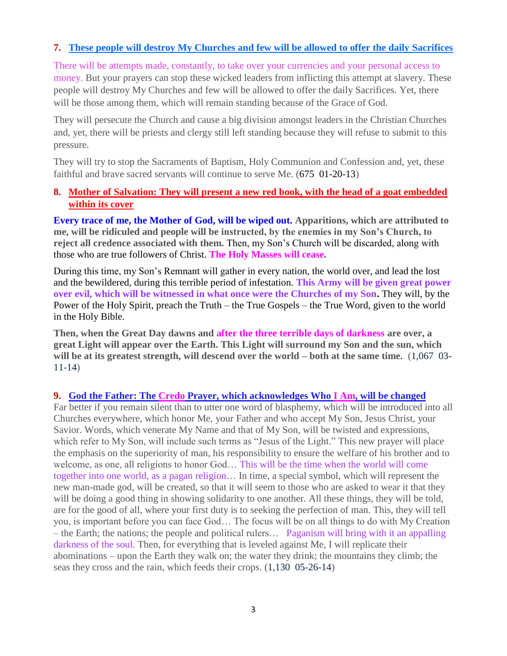## **7. [These people will destroy My Churches and few will be allowed to offer the daily Sacrifices](http://www.thewarningsecondcoming.com/these-people-will-destroy-my-churches-and-f)**

There will be attempts made, constantly, to take over your currencies and your personal access to money. But your prayers can stop these wicked leaders from inflicting this attempt at slavery. These people will destroy My Churches and few will be allowed to offer the daily Sacrifices. Yet, there will be those among them, which will remain standing because of the Grace of God.

They will persecute the Church and cause a big division amongst leaders in the Christian Churches and, yet, there will be priests and clergy still left standing because they will refuse to submit to this pressure.

They will try to stop the Sacraments of Baptism, Holy Communion and Confession and, yet, these faithful and brave sacred servants will continue to serve Me. (675 01-20-13)

#### **8. [Mother of Salvation: They will present a new red book, with the head of a goat embedded](http://www.thewarningsecondcoming.com/mother-of-salvation-they-will-present-a-new-red-book-with-the-head-of-a-goat-embedded-within-its-cover/)  [within its cover](http://www.thewarningsecondcoming.com/mother-of-salvation-they-will-present-a-new-red-book-with-the-head-of-a-goat-embedded-within-its-cover/)**

**Every trace of me, the Mother of God, will be wiped out. Apparitions, which are attributed to me, will be ridiculed and people will be instructed, by the enemies in my Son's Church, to reject all credence associated with them.** Then, my Son's Church will be discarded, along with those who are true followers of Christ. **The Holy Masses will cease.**

During this time, my Son's Remnant will gather in every nation, the world over, and lead the lost and the bewildered, during this terrible period of infestation. **This Army will be given great power over evil, which will be witnessed in what once were the Churches of my Son.** They will, by the Power of the Holy Spirit, preach the Truth – the True Gospels – the True Word, given to the world in the Holy Bible.

**Then, when the Great Day dawns and after the three terrible days of darkness are over, a great Light will appear over the Earth. This Light will surround my Son and the sun, which will be at its greatest strength, will descend over the world – both at the same time.** (1,067 03- 11-14)

#### **9. God the Father: The Credo [Prayer, which acknowledges Who I Am, will be changed](http://www.thewarningsecondcoming.com/god-the-father-the-credo-prayer-which-acknowledges-who-i-am-will-be-changed/)**

Far better if you remain silent than to utter one word of blasphemy, which will be introduced into all Churches everywhere, which honor Me, your Father and who accept My Son, Jesus Christ, your Savior. Words, which venerate My Name and that of My Son, will be twisted and expressions, which refer to My Son, will include such terms as "Jesus of the Light." This new prayer will place the emphasis on the superiority of man, his responsibility to ensure the welfare of his brother and to welcome, as one, all religions to honor God… This will be the time when the world will come together into one world, as a pagan religion… In time, a special symbol, which will represent the new man-made god, will be created, so that it will seem to those who are asked to wear it that they will be doing a good thing in showing solidarity to one another. All these things, they will be told, are for the good of all, where your first duty is to seeking the perfection of man. This, they will tell you, is important before you can face God… The focus will be on all things to do with My Creation – the Earth; the nations; the people and political rulers… Paganism will bring with it an appalling darkness of the soul. Then, for everything that is leveled against Me, I will replicate their abominations – upon the Earth they walk on; the water they drink; the mountains they climb; the seas they cross and the rain, which feeds their crops. (1,130 05-26-14)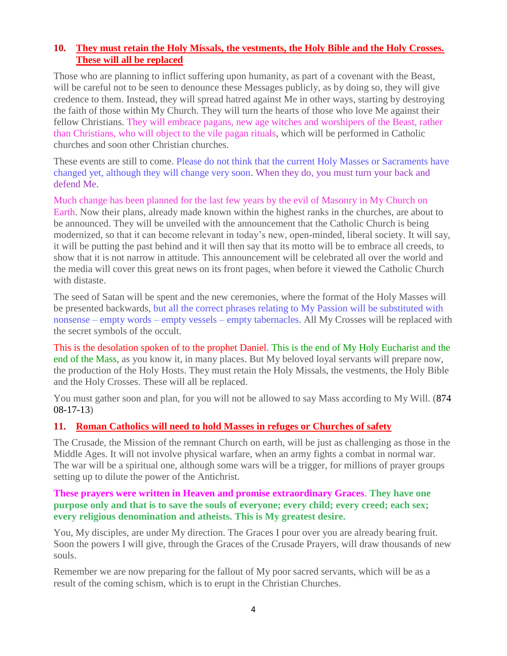### **10. [They must retain the Holy Missals, the vestments, the Holy Bible and the Holy Crosses.](http://www.thewarningsecondcoming.com/they-must-retain-the-holy-missals-the-vestments-the-holy-bible-and-the-holy-crosses-these-will-all-be-replaced/)  [These will all be replaced](http://www.thewarningsecondcoming.com/they-must-retain-the-holy-missals-the-vestments-the-holy-bible-and-the-holy-crosses-these-will-all-be-replaced/)**

Those who are planning to inflict suffering upon humanity, as part of a covenant with the Beast, will be careful not to be seen to denounce these Messages publicly, as by doing so, they will give credence to them. Instead, they will spread hatred against Me in other ways, starting by destroying the faith of those within My Church. They will turn the hearts of those who love Me against their fellow Christians. They will embrace pagans, new age witches and worshipers of the Beast, rather than Christians, who will object to the vile pagan rituals, which will be performed in Catholic churches and soon other Christian churches.

These events are still to come. Please do not think that the current Holy Masses or Sacraments have changed yet, although they will change very soon. When they do, you must turn your back and defend Me.

Much change has been planned for the last few years by the evil of Masonry in My Church on Earth. Now their plans, already made known within the highest ranks in the churches, are about to be announced. They will be unveiled with the announcement that the Catholic Church is being modernized, so that it can become relevant in today's new, open-minded, liberal society. It will say, it will be putting the past behind and it will then say that its motto will be to embrace all creeds, to show that it is not narrow in attitude. This announcement will be celebrated all over the world and the media will cover this great news on its front pages, when before it viewed the Catholic Church with distaste.

The seed of Satan will be spent and the new ceremonies, where the format of the Holy Masses will be presented backwards, but all the correct phrases relating to My Passion will be substituted with nonsense – empty words – empty vessels – empty tabernacles. All My Crosses will be replaced with the secret symbols of the occult.

This is the desolation spoken of to the prophet Daniel. This is the end of My Holy Eucharist and the end of the Mass, as you know it, in many places. But My beloved loyal servants will prepare now, the production of the Holy Hosts. They must retain the Holy Missals, the vestments, the Holy Bible and the Holy Crosses. These will all be replaced.

You must gather soon and plan, for you will not be allowed to say Mass according to My Will. (874 08-17-13)

### **11. Roman Catholics [will need to hold Masses in refuges or Churches](http://www.thewarningsecondcoming.com/roman-catholics-will-need-to-hold-masses-in-refuges-or-churches-of-safety/) of safety**

The Crusade, the Mission of the remnant Church on earth, will be just as challenging as those in the Middle Ages. It will not involve physical warfare, when an army fights a combat in normal war. The war will be a spiritual one, although some wars will be a trigger, for millions of prayer groups setting up to dilute the power of the Antichrist.

#### **These prayers were written in Heaven and promise extraordinary Graces**. **They have one purpose only and that is to save the souls of everyone; every child; every creed; each sex; every religious denomination and atheists. This is My greatest desire.**

You, My disciples, are under My direction. The Graces I pour over you are already bearing fruit. Soon the powers I will give, through the Graces of the Crusade Prayers, will draw thousands of new souls.

Remember we are now preparing for the fallout of My poor sacred servants, which will be as a result of the coming schism, which is to erupt in the Christian Churches.